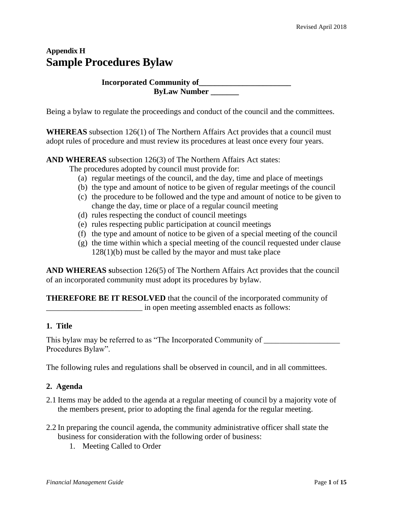## **Appendix H Sample Procedures Bylaw**

## **Incorporated Community of\_\_\_\_\_\_\_\_\_\_\_\_\_\_\_\_\_\_\_\_\_\_\_ ByLaw Number \_\_\_\_\_\_\_**

Being a bylaw to regulate the proceedings and conduct of the council and the committees.

**WHEREAS** subsection 126(1) of The Northern Affairs Act provides that a council must adopt rules of procedure and must review its procedures at least once every four years.

**AND WHEREAS** subsection 126(3) of The Northern Affairs Act states:

The procedures adopted by council must provide for:

- (a) regular meetings of the council, and the day, time and place of meetings
- (b) the type and amount of notice to be given of regular meetings of the council
- (c) the procedure to be followed and the type and amount of notice to be given to change the day, time or place of a regular council meeting
- (d) rules respecting the conduct of council meetings
- (e) rules respecting public participation at council meetings
- (f) the type and amount of notice to be given of a special meeting of the council
- (g) the time within which a special meeting of the council requested under clause 128(1)(b) must be called by the mayor and must take place

**AND WHEREAS s**ubsection 126(5) of The Northern Affairs Act provides that the council of an incorporated community must adopt its procedures by bylaw.

**THEREFORE BE IT RESOLVED** that the council of the incorporated community of \_\_\_\_\_\_\_\_\_\_\_\_\_\_\_\_\_\_\_\_\_\_\_\_ in open meeting assembled enacts as follows:

#### **1. Title**

This bylaw may be referred to as "The Incorporated Community of Procedures Bylaw".

The following rules and regulations shall be observed in council, and in all committees.

#### **2. Agenda**

- 2.1 Items may be added to the agenda at a regular meeting of council by a majority vote of the members present, prior to adopting the final agenda for the regular meeting.
- 2.2 In preparing the council agenda, the community administrative officer shall state the business for consideration with the following order of business:
	- 1. Meeting Called to Order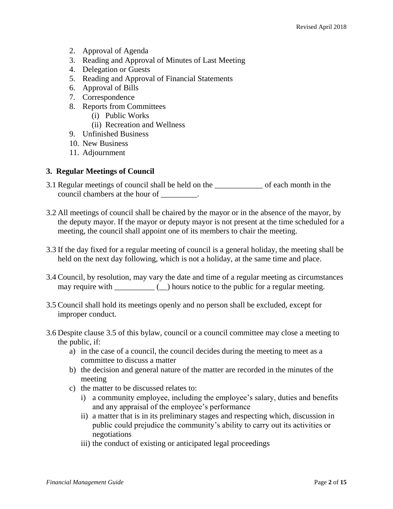- 2. Approval of Agenda
- 3. Reading and Approval of Minutes of Last Meeting
- 4. Delegation or Guests
- 5. Reading and Approval of Financial Statements
- 6. Approval of Bills
- 7. Correspondence
- 8. Reports from Committees
	- (i) Public Works
	- (ii) Recreation and Wellness
- 9. Unfinished Business
- 10. New Business
- 11. Adjournment

#### **3. Regular Meetings of Council**

- 3.1 Regular meetings of council shall be held on the \_\_\_\_\_\_\_\_\_\_\_\_ of each month in the council chambers at the hour of \_\_\_\_\_\_\_\_.
- 3.2 All meetings of council shall be chaired by the mayor or in the absence of the mayor, by the deputy mayor. If the mayor or deputy mayor is not present at the time scheduled for a meeting, the council shall appoint one of its members to chair the meeting.
- 3.3 If the day fixed for a regular meeting of council is a general holiday, the meeting shall be held on the next day following, which is not a holiday, at the same time and place.
- 3.4 Council, by resolution, may vary the date and time of a regular meeting as circumstances may require with  $\qquad \qquad$  ( $\qquad$ ) hours notice to the public for a regular meeting.
- 3.5 Council shall hold its meetings openly and no person shall be excluded, except for improper conduct.
- 3.6 Despite clause 3.5 of this bylaw, council or a council committee may close a meeting to the public, if:
	- a) in the case of a council, the council decides during the meeting to meet as a committee to discuss a matter
	- b) the decision and general nature of the matter are recorded in the minutes of the meeting
	- c) the matter to be discussed relates to:
		- i) a community employee, including the employee's salary, duties and benefits and any appraisal of the employee's performance
		- ii) a matter that is in its preliminary stages and respecting which, discussion in public could prejudice the community's ability to carry out its activities or negotiations
		- iii) the conduct of existing or anticipated legal proceedings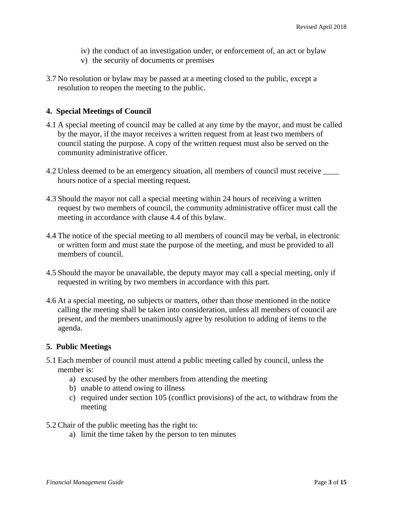- iv) the conduct of an investigation under, or enforcement of, an act or bylaw
- v) the security of documents or premises
- 3.7 No resolution or bylaw may be passed at a meeting closed to the public, except a resolution to reopen the meeting to the public.

#### **4. Special Meetings of Council**

- 4.1 A special meeting of council may be called at any time by the mayor, and must be called by the mayor, if the mayor receives a written request from at least two members of council stating the purpose. A copy of the written request must also be served on the community administrative officer.
- 4.2 Unless deemed to be an emergency situation, all members of council must receive \_\_\_\_ hours notice of a special meeting request.
- 4.3 Should the mayor not call a special meeting within 24 hours of receiving a written request by two members of council, the community administrative officer must call the meeting in accordance with clause 4.4 of this bylaw.
- 4.4 The notice of the special meeting to all members of council may be verbal, in electronic or written form and must state the purpose of the meeting, and must be provided to all members of council.
- 4.5 Should the mayor be unavailable, the deputy mayor may call a special meeting, only if requested in writing by two members in accordance with this part.
- 4.6 At a special meeting, no subjects or matters, other than those mentioned in the notice calling the meeting shall be taken into consideration, unless all members of council are present, and the members unanimously agree by resolution to adding of items to the agenda.

#### **5. Public Meetings**

- 5.1 Each member of council must attend a public meeting called by council, unless the member is:
	- a) excused by the other members from attending the meeting
	- b) unable to attend owing to illness
	- c) required under section 105 (conflict provisions) of the act, to withdraw from the meeting
- 5.2 Chair of the public meeting has the right to:
	- a) limit the time taken by the person to ten minutes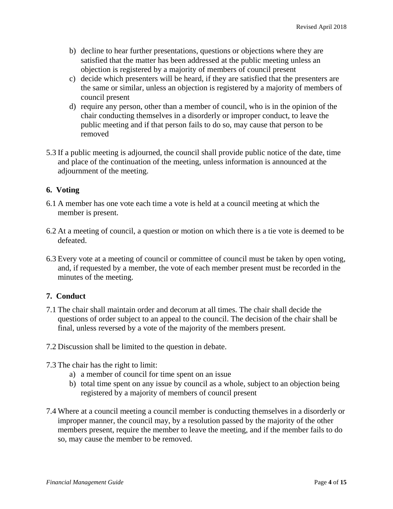- b) decline to hear further presentations, questions or objections where they are satisfied that the matter has been addressed at the public meeting unless an objection is registered by a majority of members of council present
- c) decide which presenters will be heard, if they are satisfied that the presenters are the same or similar, unless an objection is registered by a majority of members of council present
- d) require any person, other than a member of council, who is in the opinion of the chair conducting themselves in a disorderly or improper conduct, to leave the public meeting and if that person fails to do so, may cause that person to be removed
- 5.3 If a public meeting is adjourned, the council shall provide public notice of the date, time and place of the continuation of the meeting, unless information is announced at the adjournment of the meeting.

#### **6. Voting**

- 6.1 A member has one vote each time a vote is held at a council meeting at which the member is present.
- 6.2 At a meeting of council, a question or motion on which there is a tie vote is deemed to be defeated.
- 6.3 Every vote at a meeting of council or committee of council must be taken by open voting, and, if requested by a member, the vote of each member present must be recorded in the minutes of the meeting.

## **7. Conduct**

- 7.1 The chair shall maintain order and decorum at all times. The chair shall decide the questions of order subject to an appeal to the council. The decision of the chair shall be final, unless reversed by a vote of the majority of the members present.
- 7.2 Discussion shall be limited to the question in debate.
- 7.3 The chair has the right to limit:
	- a) a member of council for time spent on an issue
	- b) total time spent on any issue by council as a whole, subject to an objection being registered by a majority of members of council present
- 7.4 Where at a council meeting a council member is conducting themselves in a disorderly or improper manner, the council may, by a resolution passed by the majority of the other members present, require the member to leave the meeting, and if the member fails to do so, may cause the member to be removed.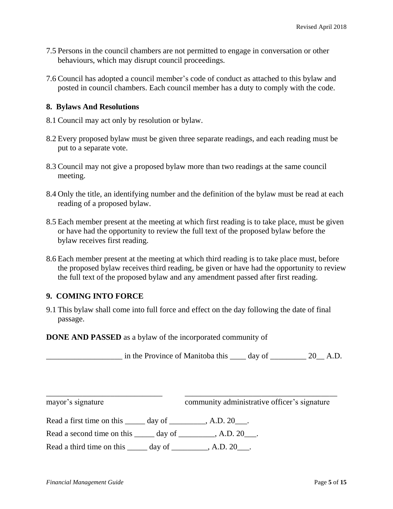- 7.5 Persons in the council chambers are not permitted to engage in conversation or other behaviours, which may disrupt council proceedings.
- 7.6 Council has adopted a council member's code of conduct as attached to this bylaw and posted in council chambers. Each council member has a duty to comply with the code.

#### **8. Bylaws And Resolutions**

- 8.1 Council may act only by resolution or bylaw.
- 8.2 Every proposed bylaw must be given three separate readings, and each reading must be put to a separate vote.
- 8.3 Council may not give a proposed bylaw more than two readings at the same council meeting.
- 8.4 Only the title, an identifying number and the definition of the bylaw must be read at each reading of a proposed bylaw.
- 8.5 Each member present at the meeting at which first reading is to take place, must be given or have had the opportunity to review the full text of the proposed bylaw before the bylaw receives first reading.
- 8.6 Each member present at the meeting at which third reading is to take place must, before the proposed bylaw receives third reading, be given or have had the opportunity to review the full text of the proposed bylaw and any amendment passed after first reading.

#### **9. COMING INTO FORCE**

9.1 This bylaw shall come into full force and effect on the day following the date of final passage.

\_\_\_\_\_\_\_\_\_\_\_\_\_\_\_\_\_\_\_\_\_\_\_\_\_\_\_\_\_ \_\_\_\_\_\_\_\_\_\_\_\_\_\_\_\_\_\_\_\_\_\_\_\_\_\_\_\_\_\_\_\_\_\_\_\_\_\_

**DONE AND PASSED** as a bylaw of the incorporated community of

\_\_\_\_\_\_\_\_\_\_\_\_\_\_\_\_\_\_\_ in the Province of Manitoba this \_\_\_\_ day of \_\_\_\_\_\_\_\_\_ 20\_\_ A.D.

mayor's signature community administrative officer's signature

Read a first time on this \_\_\_\_\_ day of \_\_\_\_\_\_\_\_, A.D. 20\_\_\_.

Read a second time on this \_\_\_\_\_ day of \_\_\_\_\_\_\_\_, A.D. 20\_\_\_.

Read a third time on this  $\qquad \qquad$  day of  $\qquad \qquad$ , A.D. 20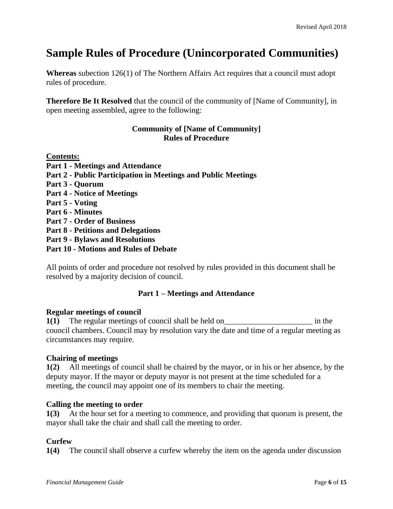# **Sample Rules of Procedure (Unincorporated Communities)**

**Whereas** subection 126(1) of The Northern Affairs Act requires that a council must adopt rules of procedure.

**Therefore Be It Resolved** that the council of the community of [Name of Community], in open meeting assembled, agree to the following:

#### **Community of [Name of Community] Rules of Procedure**

| <b>Contents:</b>                                              |
|---------------------------------------------------------------|
| <b>Part 1 - Meetings and Attendance</b>                       |
| Part 2 - Public Participation in Meetings and Public Meetings |
| <b>Part 3 - Quorum</b>                                        |
| <b>Part 4 - Notice of Meetings</b>                            |
| Part 5 - Voting                                               |
| <b>Part 6 - Minutes</b>                                       |
| <b>Part 7 - Order of Business</b>                             |
| <b>Part 8 - Petitions and Delegations</b>                     |
| <b>Part 9 - Bylaws and Resolutions</b>                        |
| <b>Part 10 - Motions and Rules of Debate</b>                  |

All points of order and procedure not resolved by rules provided in this document shall be resolved by a majority decision of council.

## **Part 1 – Meetings and Attendance**

#### **Regular meetings of council**

**1(1)** The regular meetings of council shall be held on\_\_\_\_\_\_\_\_\_\_\_\_\_\_\_\_\_\_\_\_\_\_ in the council chambers. Council may by resolution vary the date and time of a regular meeting as circumstances may require.

#### **Chairing of meetings**

**1(2)** All meetings of council shall be chaired by the mayor, or in his or her absence, by the deputy mayor. If the mayor or deputy mayor is not present at the time scheduled for a meeting, the council may appoint one of its members to chair the meeting.

#### **Calling the meeting to order**

**1(3)** At the hour set for a meeting to commence, and providing that quorum is present, the mayor shall take the chair and shall call the meeting to order.

#### **Curfew**

**1(4)** The council shall observe a curfew whereby the item on the agenda under discussion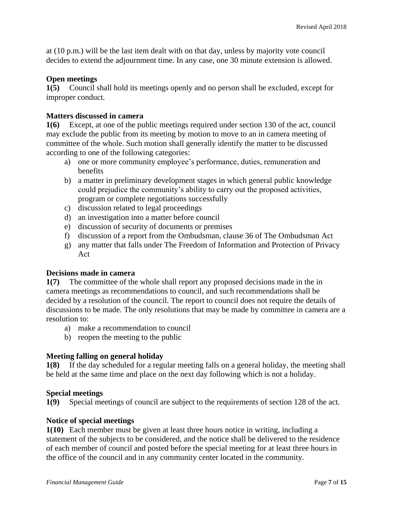at (10 p.m.) will be the last item dealt with on that day, unless by majority vote council decides to extend the adjournment time. In any case, one 30 minute extension is allowed.

#### **Open meetings**

**1(5)** Council shall hold its meetings openly and no person shall be excluded, except for improper conduct.

#### **Matters discussed in camera**

**1(6)** Except, at one of the public meetings required under section 130 of the act, council may exclude the public from its meeting by motion to move to an in camera meeting of committee of the whole. Such motion shall generally identify the matter to be discussed according to one of the following categories:

- a) one or more community employee's performance, duties, remuneration and benefits
- b) a matter in preliminary development stages in which general public knowledge could prejudice the community's ability to carry out the proposed activities, program or complete negotiations successfully
- c) discussion related to legal proceedings
- d) an investigation into a matter before council
- e) discussion of security of documents or premises
- f) discussion of a report from the Ombudsman, clause 36 of The Ombudsman Act
- g) any matter that falls under The Freedom of Information and Protection of Privacy Act

#### **Decisions made in camera**

**1(7)** The committee of the whole shall report any proposed decisions made in the in camera meetings as recommendations to council, and such recommendations shall be decided by a resolution of the council. The report to council does not require the details of discussions to be made. The only resolutions that may be made by committee in camera are a resolution to:

- a) make a recommendation to council
- b) reopen the meeting to the public

#### **Meeting falling on general holiday**

**1(8)** If the day scheduled for a regular meeting falls on a general holiday, the meeting shall be held at the same time and place on the next day following which is not a holiday.

#### **Special meetings**

**1(9)** Special meetings of council are subject to the requirements of section 128 of the act*.*

#### **Notice of special meetings**

**1(10)** Each member must be given at least three hours notice in writing, including a statement of the subjects to be considered, and the notice shall be delivered to the residence of each member of council and posted before the special meeting for at least three hours in the office of the council and in any community center located in the community.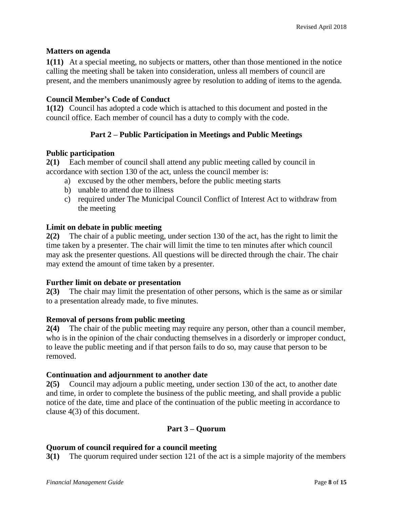#### **Matters on agenda**

**1(11)** At a special meeting, no subjects or matters, other than those mentioned in the notice calling the meeting shall be taken into consideration, unless all members of council are present, and the members unanimously agree by resolution to adding of items to the agenda.

#### **Council Member's Code of Conduct**

**1(12)** Council has adopted a code which is attached to this document and posted in the council office. Each member of council has a duty to comply with the code.

#### **Part 2 – Public Participation in Meetings and Public Meetings**

#### **Public participation**

**2(1)** Each member of council shall attend any public meeting called by council in accordance with section 130 of the act*,* unless the council member is:

- a) excused by the other members, before the public meeting starts
- b) unable to attend due to illness
- c) required under The Municipal Council Conflict of Interest Act to withdraw from the meeting

#### **Limit on debate in public meeting**

**2(2)** The chair of a public meeting, under section 130 of the act, has the right to limit the time taken by a presenter. The chair will limit the time to ten minutes after which council may ask the presenter questions. All questions will be directed through the chair. The chair may extend the amount of time taken by a presenter.

#### **Further limit on debate or presentation**

**2(3)** The chair may limit the presentation of other persons, which is the same as or similar to a presentation already made, to five minutes.

#### **Removal of persons from public meeting**

**2(4)** The chair of the public meeting may require any person, other than a council member, who is in the opinion of the chair conducting themselves in a disorderly or improper conduct, to leave the public meeting and if that person fails to do so, may cause that person to be removed.

#### **Continuation and adjournment to another date**

**2(5)** Council may adjourn a public meeting, under section 130 of the act*,* to another date and time, in order to complete the business of the public meeting, and shall provide a public notice of the date, time and place of the continuation of the public meeting in accordance to clause 4(3) of this document.

#### **Part 3 – Quorum**

#### **Quorum of council required for a council meeting**

**3(1)** The quorum required under section 121 of the act is a simple majority of the members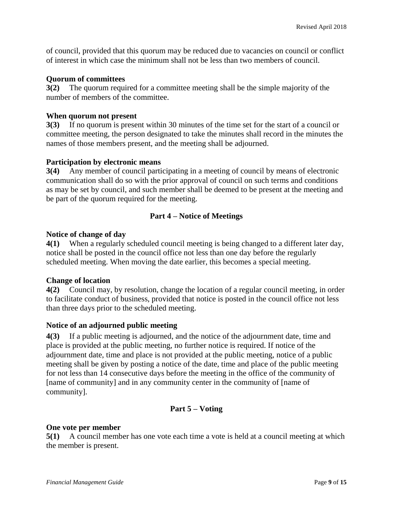of council, provided that this quorum may be reduced due to vacancies on council or conflict of interest in which case the minimum shall not be less than two members of council.

#### **Quorum of committees**

**3(2)** The quorum required for a committee meeting shall be the simple majority of the number of members of the committee.

#### **When quorum not present**

**3(3)** If no quorum is present within 30 minutes of the time set for the start of a council or committee meeting, the person designated to take the minutes shall record in the minutes the names of those members present, and the meeting shall be adjourned.

### **Participation by electronic means**

**3(4)** Any member of council participating in a meeting of council by means of electronic communication shall do so with the prior approval of council on such terms and conditions as may be set by council, and such member shall be deemed to be present at the meeting and be part of the quorum required for the meeting.

## **Part 4 – Notice of Meetings**

#### **Notice of change of day**

**4(1)** When a regularly scheduled council meeting is being changed to a different later day, notice shall be posted in the council office not less than one day before the regularly scheduled meeting. When moving the date earlier, this becomes a special meeting.

## **Change of location**

**4(2)** Council may, by resolution, change the location of a regular council meeting, in order to facilitate conduct of business, provided that notice is posted in the council office not less than three days prior to the scheduled meeting.

## **Notice of an adjourned public meeting**

**4(3)** If a public meeting is adjourned, and the notice of the adjournment date, time and place is provided at the public meeting, no further notice is required. If notice of the adjournment date, time and place is not provided at the public meeting, notice of a public meeting shall be given by posting a notice of the date, time and place of the public meeting for not less than 14 consecutive days before the meeting in the office of the community of [name of community] and in any community center in the community of [name of community].

## **Part 5 – Voting**

#### **One vote per member**

**5(1)** A council member has one vote each time a vote is held at a council meeting at which the member is present.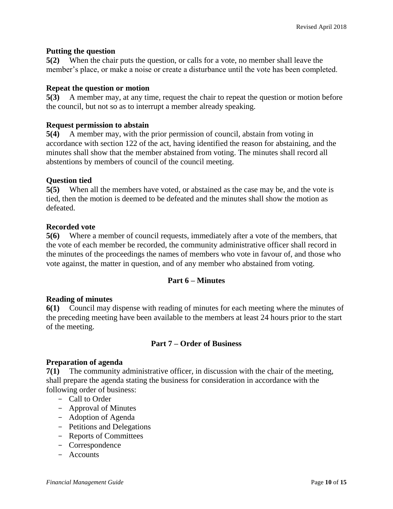#### **Putting the question**

**5(2)** When the chair puts the question, or calls for a vote, no member shall leave the member's place, or make a noise or create a disturbance until the vote has been completed.

#### **Repeat the question or motion**

**5(3)** A member may, at any time, request the chair to repeat the question or motion before the council, but not so as to interrupt a member already speaking.

#### **Request permission to abstain**

**5(4)** A member may, with the prior permission of council, abstain from voting in accordance with section 122 of the act*,* having identified the reason for abstaining, and the minutes shall show that the member abstained from voting. The minutes shall record all abstentions by members of council of the council meeting.

#### **Question tied**

**5(5)** When all the members have voted, or abstained as the case may be, and the vote is tied, then the motion is deemed to be defeated and the minutes shall show the motion as defeated.

#### **Recorded vote**

**5(6)** Where a member of council requests, immediately after a vote of the members, that the vote of each member be recorded, the community administrative officer shall record in the minutes of the proceedings the names of members who vote in favour of, and those who vote against, the matter in question, and of any member who abstained from voting.

#### **Part 6 – Minutes**

#### **Reading of minutes**

**6(1)** Council may dispense with reading of minutes for each meeting where the minutes of the preceding meeting have been available to the members at least 24 hours prior to the start of the meeting.

## **Part 7 – Order of Business**

#### **Preparation of agenda**

**7(1)** The community administrative officer, in discussion with the chair of the meeting, shall prepare the agenda stating the business for consideration in accordance with the following order of business:

- Call to Order
- Approval of Minutes
- Adoption of Agenda
- Petitions and Delegations
- Reports of Committees
- Correspondence
- Accounts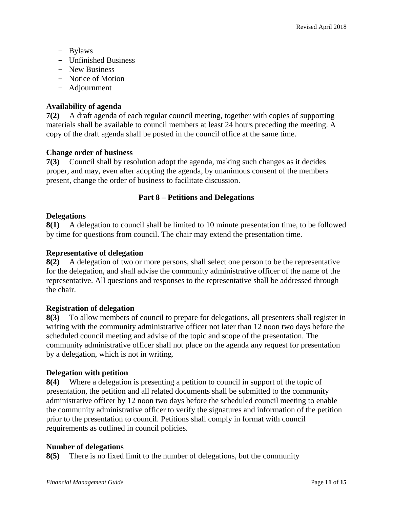- Bylaws
- Unfinished Business
- New Business
- Notice of Motion
- Adjournment

#### **Availability of agenda**

**7(2)** A draft agenda of each regular council meeting, together with copies of supporting materials shall be available to council members at least 24 hours preceding the meeting. A copy of the draft agenda shall be posted in the council office at the same time.

#### **Change order of business**

**7(3)** Council shall by resolution adopt the agenda, making such changes as it decides proper, and may, even after adopting the agenda, by unanimous consent of the members present, change the order of business to facilitate discussion.

### **Part 8 – Petitions and Delegations**

#### **Delegations**

**8(1)** A delegation to council shall be limited to 10 minute presentation time, to be followed by time for questions from council. The chair may extend the presentation time.

#### **Representative of delegation**

**8(2)** A delegation of two or more persons, shall select one person to be the representative for the delegation, and shall advise the community administrative officer of the name of the representative. All questions and responses to the representative shall be addressed through the chair.

#### **Registration of delegation**

**8(3)** To allow members of council to prepare for delegations, all presenters shall register in writing with the community administrative officer not later than 12 noon two days before the scheduled council meeting and advise of the topic and scope of the presentation. The community administrative officer shall not place on the agenda any request for presentation by a delegation, which is not in writing.

#### **Delegation with petition**

**8(4)** Where a delegation is presenting a petition to council in support of the topic of presentation, the petition and all related documents shall be submitted to the community administrative officer by 12 noon two days before the scheduled council meeting to enable the community administrative officer to verify the signatures and information of the petition prior to the presentation to council. Petitions shall comply in format with council requirements as outlined in council policies.

#### **Number of delegations**

**8(5)** There is no fixed limit to the number of delegations, but the community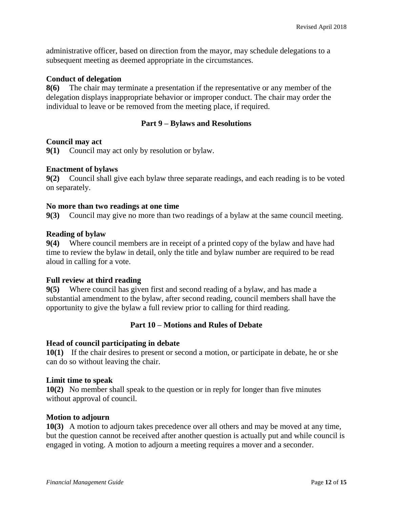administrative officer, based on direction from the mayor, may schedule delegations to a subsequent meeting as deemed appropriate in the circumstances.

#### **Conduct of delegation**

**8(6)** The chair may terminate a presentation if the representative or any member of the delegation displays inappropriate behavior or improper conduct. The chair may order the individual to leave or be removed from the meeting place, if required.

#### **Part 9 – Bylaws and Resolutions**

#### **Council may act**

**9(1)** Council may act only by resolution or bylaw.

#### **Enactment of bylaws**

**9(2)** Council shall give each bylaw three separate readings, and each reading is to be voted on separately.

#### **No more than two readings at one time**

**9(3)** Council may give no more than two readings of a bylaw at the same council meeting.

#### **Reading of bylaw**

**9(4)** Where council members are in receipt of a printed copy of the bylaw and have had time to review the bylaw in detail, only the title and bylaw number are required to be read aloud in calling for a vote.

#### **Full review at third reading**

**9(5)** Where council has given first and second reading of a bylaw, and has made a substantial amendment to the bylaw, after second reading, council members shall have the opportunity to give the bylaw a full review prior to calling for third reading.

#### **Part 10 – Motions and Rules of Debate**

#### **Head of council participating in debate**

**10(1)** If the chair desires to present or second a motion, or participate in debate, he or she can do so without leaving the chair.

#### **Limit time to speak**

**10(2)** No member shall speak to the question or in reply for longer than five minutes without approval of council.

#### **Motion to adjourn**

**10(3)** A motion to adjourn takes precedence over all others and may be moved at any time, but the question cannot be received after another question is actually put and while council is engaged in voting. A motion to adjourn a meeting requires a mover and a seconder.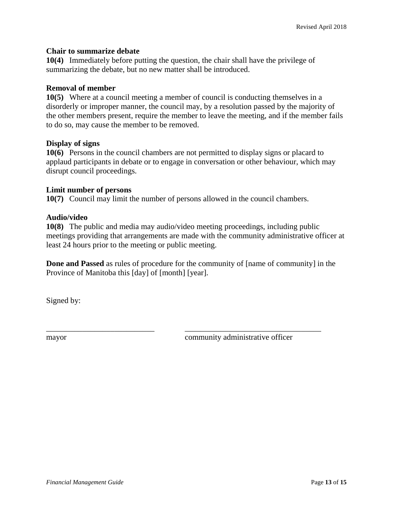#### **Chair to summarize debate**

**10(4)** Immediately before putting the question, the chair shall have the privilege of summarizing the debate, but no new matter shall be introduced.

#### **Removal of member**

**10(5)** Where at a council meeting a member of council is conducting themselves in a disorderly or improper manner, the council may, by a resolution passed by the majority of the other members present, require the member to leave the meeting, and if the member fails to do so, may cause the member to be removed.

#### **Display of signs**

**10(6)** Persons in the council chambers are not permitted to display signs or placard to applaud participants in debate or to engage in conversation or other behaviour, which may disrupt council proceedings.

#### **Limit number of persons**

**10(7)** Council may limit the number of persons allowed in the council chambers.

#### **Audio/video**

**10(8)** The public and media may audio/video meeting proceedings, including public meetings providing that arrangements are made with the community administrative officer at least 24 hours prior to the meeting or public meeting.

**Done and Passed** as rules of procedure for the community of [name of community] in the Province of Manitoba this [day] of [month] [year].

\_\_\_\_\_\_\_\_\_\_\_\_\_\_\_\_\_\_\_\_\_\_\_\_\_\_\_ \_\_\_\_\_\_\_\_\_\_\_\_\_\_\_\_\_\_\_\_\_\_\_\_\_\_\_\_\_\_\_\_\_\_

Signed by:

mayor community administrative officer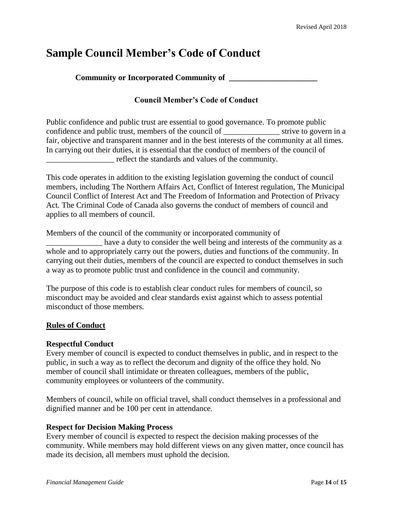## **Sample Council Member's Code of Conduct**

**Community or Incorporated Community of \_\_\_\_\_\_\_\_\_\_\_\_\_\_\_\_\_\_\_\_\_\_**

## **Council Member's Code of Conduct**

Public confidence and public trust are essential to good governance. To promote public confidence and public trust, members of the council of strive to govern in a fair, objective and transparent manner and in the best interests of the community at all times. In carrying out their duties, it is essential that the conduct of members of the council of \_\_\_\_\_\_\_\_\_\_\_\_\_\_\_\_\_ reflect the standards and values of the community.

This code operates in addition to the existing legislation governing the conduct of council members, including The Northern Affairs Act, Conflict of Interest regulation, The Municipal Council Conflict of Interest Act and The Freedom of Information and Protection of Privacy Act*.* The Criminal Code of Canada also governs the conduct of members of council and applies to all members of council.

Members of the council of the community or incorporated community of \_\_\_\_\_\_\_\_\_\_\_\_\_\_ have a duty to consider the well being and interests of the community as a whole and to appropriately carry out the powers, duties and functions of the community. In carrying out their duties, members of the council are expected to conduct themselves in such

a way as to promote public trust and confidence in the council and community.

The purpose of this code is to establish clear conduct rules for members of council, so misconduct may be avoided and clear standards exist against which to assess potential misconduct of those members.

#### **Rules of Conduct**

#### **Respectful Conduct**

Every member of council is expected to conduct themselves in public, and in respect to the public, in such a way as to reflect the decorum and dignity of the office they hold. No member of council shall intimidate or threaten colleagues, members of the public, community employees or volunteers of the community.

Members of council, while on official travel, shall conduct themselves in a professional and dignified manner and be 100 per cent in attendance.

#### **Respect for Decision Making Process**

Every member of council is expected to respect the decision making processes of the community. While members may hold different views on any given matter, once council has made its decision, all members must uphold the decision.